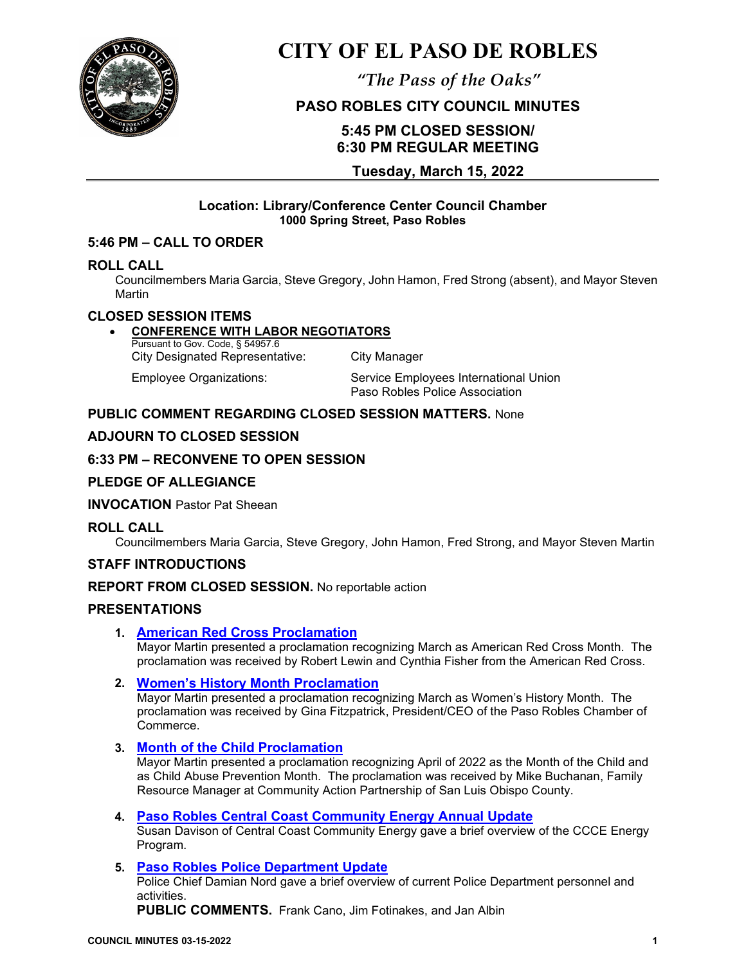

# **CITY OF EL PASO DE ROBLES**

*"The Pass of the Oaks"*

## **PASO ROBLES CITY COUNCIL MINUTES**

# **5:45 PM CLOSED SESSION/ 6:30 PM REGULAR MEETING**

## **Tuesday, March 15, 2022**

#### **Location: Library/Conference Center Council Chamber 1000 Spring Street, Paso Robles**

## **5:46 PM – CALL TO ORDER**

#### **ROLL CALL**

Councilmembers Maria Garcia, Steve Gregory, John Hamon, Fred Strong (absent), and Mayor Steven Martin

## **CLOSED SESSION ITEMS**

# • **CONFERENCE WITH LABOR NEGOTIATORS**

Pursuant to Gov. Code, § 54957.6 City Designated Representative: City Manager

Employee Organizations: Service Employees International Union Paso Robles Police Association

## **PUBLIC COMMENT REGARDING CLOSED SESSION MATTERS.** None

## **ADJOURN TO CLOSED SESSION**

## **6:33 PM – RECONVENE TO OPEN SESSION**

## **PLEDGE OF ALLEGIANCE**

## **INVOCATION** Pastor Pat Sheean

## **ROLL CALL**

Councilmembers Maria Garcia, Steve Gregory, John Hamon, Fred Strong, and Mayor Steven Martin

## **STAFF INTRODUCTIONS**

#### **REPORT FROM CLOSED SESSION.** No reportable action

## **PRESENTATIONS**

- **1. [American Red Cross Proclamation](https://www.prcity.com/DocumentCenter/View/33315/March-15-2022-City-Council-Agenda-Item-01-PDF)**  Mayor Martin presented a proclamation recognizing March as American Red Cross Month. The proclamation was received by Robert Lewin and Cynthia Fisher from the American Red Cross.
- **2. [Women's History Month](https://www.prcity.com/DocumentCenter/View/33322/March-15-2022-City-Council-Agenda-Item-02-PDF) Proclamation**  Mayor Martin presented a proclamation recognizing March as Women's History Month. The

proclamation was received by Gina Fitzpatrick, President/CEO of the Paso Robles Chamber of Commerce.

## **3. [Month of the Child Proclamation](https://www.prcity.com/DocumentCenter/View/33316/March-15-2022-City-Council-Agenda-Item-03-PDF)**

Mayor Martin presented a proclamation recognizing April of 2022 as the Month of the Child and as Child Abuse Prevention Month. The proclamation was received by Mike Buchanan, Family Resource Manager at Community Action Partnership of San Luis Obispo County.

**4. Paso Robles Central Coast [Community Energy Annual Update](https://www.prcity.com/DocumentCenter/View/33317/March-15-2022-City-Council-Agenda-Item-04-PDF)** 

Susan Davison of Central Coast Community Energy gave a brief overview of the CCCE Energy Program.

**5. [Paso Robles Police Department Update](https://www.prcity.com/DocumentCenter/View/33318/March-15-2022-City-Council-Agenda-Item-05-PDF)** 

Police Chief Damian Nord gave a brief overview of current Police Department personnel and activities.

**PUBLIC COMMENTS.** Frank Cano, Jim Fotinakes, and Jan Albin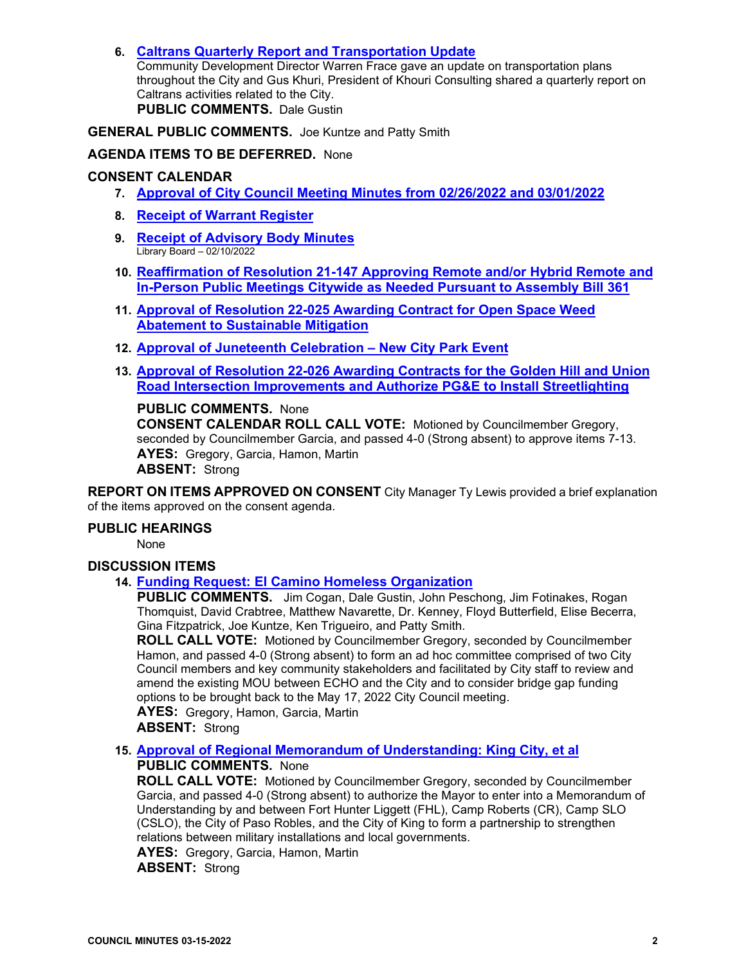#### **6. [Caltrans Quarterly Report and Transportation Update](https://www.prcity.com/DocumentCenter/View/33319/March-15-2022-City-Council-Agenda-Item-06-PDF)**

Community Development Director Warren Frace gave an update on transportation plans throughout the City and Gus Khuri, President of Khouri Consulting shared a quarterly report on Caltrans activities related to the City.

**PUBLIC COMMENTS.** Dale Gustin

**GENERAL PUBLIC COMMENTS.** Joe Kuntze and Patty Smith

#### **AGENDA ITEMS TO BE DEFERRED.** None

#### **CONSENT CALENDAR**

- **7. [Approval of City Council Meeting Minutes from 02/26/2022](https://www.prcity.com/DocumentCenter/View/33320/March-15-2022-City-Council-Agenda-Item-07-PDF) and 03/01/2022**
- **8. Receipt [of Warrant Register](https://www.prcity.com/DocumentCenter/View/33321/March-15-2022-City-Council-Agenda-Item-08-PDF)**
- **9. [Receipt of Advisory Body Minutes](https://www.prcity.com/DocumentCenter/View/33305/March-15-2022-City-Council-Agenda-Item-09-PDF)** Library Board – 02/10/2022
- **10. [Reaffirmation of Resolution 21-147 Approving Remote and/or Hybrid Remote and](https://www.prcity.com/DocumentCenter/View/33306/March-15-2022-City-Council-Agenda-Item-10-PDF)  [In-Person Public Meetings Citywide as Needed Pursuant to Assembly Bill 361](https://www.prcity.com/DocumentCenter/View/33306/March-15-2022-City-Council-Agenda-Item-10-PDF)**
- **11. Approval of Resolution 22-025 [Awarding Contract for Open Space Weed](https://www.prcity.com/DocumentCenter/View/33307/March-15-2022-City-Council-Agenda-Item-11-PDF)  [Abatement to Sustainable Mitigation](https://www.prcity.com/DocumentCenter/View/33307/March-15-2022-City-Council-Agenda-Item-11-PDF)**
- **12. [Approval of Juneteenth Celebration –](https://www.prcity.com/DocumentCenter/View/33308/March-15-2022-City-Council-Agenda-Item-12-PDF) New City Park Event**
- **13. Approval of Resolution 22-026 Awarding [Contracts for the Golden Hill and Union](https://www.prcity.com/DocumentCenter/View/33309/March-15-2022-City-Council-Agenda-Item-13-PDF)  [Road Intersection Improvements and Authorize PG&E to Install Streetlighting](https://www.prcity.com/DocumentCenter/View/33309/March-15-2022-City-Council-Agenda-Item-13-PDF)**

**PUBLIC COMMENTS.** None **CONSENT CALENDAR ROLL CALL VOTE:** Motioned by Councilmember Gregory, seconded by Councilmember Garcia, and passed 4-0 (Strong absent) to approve items 7-13. **AYES:** Gregory, Garcia, Hamon, Martin **ABSENT:** Strong

**REPORT ON ITEMS APPROVED ON CONSENT** City Manager Ty Lewis provided a brief explanation of the items approved on the consent agenda.

#### **PUBLIC HEARINGS**

None

## **DISCUSSION ITEMS**

### **14. [Funding Request: El Camino Homeless Organization](https://www.prcity.com/DocumentCenter/View/33310/March-15-2022-City-Council-Agenda-Item-14-PDF)**

**PUBLIC COMMENTS.** Jim Cogan, Dale Gustin, John Peschong, Jim Fotinakes, Rogan Thomquist, David Crabtree, Matthew Navarette, Dr. Kenney, Floyd Butterfield, Elise Becerra, Gina Fitzpatrick, Joe Kuntze, Ken Trigueiro, and Patty Smith.

**ROLL CALL VOTE:** Motioned by Councilmember Gregory, seconded by Councilmember Hamon, and passed 4-0 (Strong absent) to form an ad hoc committee comprised of two City Council members and key community stakeholders and facilitated by City staff to review and amend the existing MOU between ECHO and the City and to consider bridge gap funding options to be brought back to the May 17, 2022 City Council meeting.

**AYES:** Gregory, Hamon, Garcia, Martin **ABSENT:** Strong

**15. [Approval of Regional Memorandum of Understanding: King City, et al](https://www.prcity.com/DocumentCenter/View/33311/March-15-2022-City-Council-Agenda-Item-15-PDF)**

#### **PUBLIC COMMENTS.** None

**ROLL CALL VOTE:** Motioned by Councilmember Gregory, seconded by Councilmember Garcia, and passed 4-0 (Strong absent) to authorize the Mayor to enter into a Memorandum of Understanding by and between Fort Hunter Liggett (FHL), Camp Roberts (CR), Camp SLO (CSLO), the City of Paso Robles, and the City of King to form a partnership to strengthen relations between military installations and local governments.

**AYES:** Gregory, Garcia, Hamon, Martin

**ABSENT:** Strong